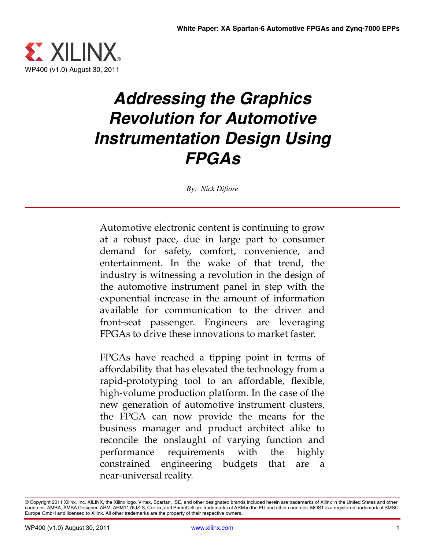

# *Addressing the Graphics Revolution for Automotive Instrumentation Design Using FPGAs*

*By: Nick Difiore*

Automotive electronic content is continuing to grow at a robust pace, due in large part to consumer demand for safety, comfort, convenience, and entertainment. In the wake of that trend, the industry is witnessing a revolution in the design of the automotive instrument panel in step with the exponential increase in the amount of information available for communication to the driver and front-seat passenger. Engineers are leveraging FPGAs to drive these innovations to market faster.

FPGAs have reached a tipping point in terms of affordability that has elevated the technology from a rapid-prototyping tool to an affordable, flexible, high-volume production platform. In the case of the new generation of automotive instrument clusters, the FPGA can now provide the means for the business manager and product architect alike to reconcile the onslaught of varying function and performance requirements with the highly constrained engineering budgets that are a near-universal reality.

<sup>©</sup> Copyright 2011 Xilinx, Inc. XILINX, the Xilinx logo, Virtex, Spartan, ISE, and other designated brands included herein are trademarks of Xilinx in the United States and other countries. AMBA, AMBA Designer, ARM, ARM1176JZ-S, Cortex, and PrimeCell are trademarks of ARM in the EU and other countries. MOST is a registered trademark of SMSC Europe GmbH and licensed to Xilinx. All other trademarks are the property of their respective owners.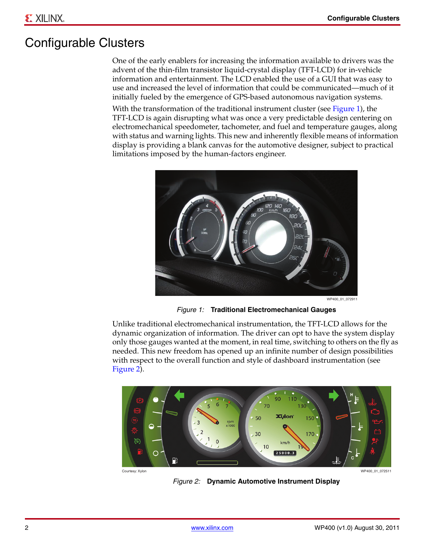# Configurable Clusters

One of the early enablers for increasing the information available to drivers was the advent of the thin-film transistor liquid-crystal display (TFT-LCD) for in-vehicle information and entertainment. The LCD enabled the use of a GUI that was easy to use and increased the level of information that could be communicated—much of it initially fueled by the emergence of GPS-based autonomous navigation systems.

With the transformation of the traditional instrument cluster (see [Figure 1](#page-1-0)), the TFT-LCD is again disrupting what was once a very predictable design centering on electromechanical speedometer, tachometer, and fuel and temperature gauges, along with status and warning lights. This new and inherently flexible means of information display is providing a blank canvas for the automotive designer, subject to practical limitations imposed by the human-factors engineer.

<span id="page-1-0"></span>

WP400\_01\_072911

*Figure 1:* **Traditional Electromechanical Gauges**

Unlike traditional electromechanical instrumentation, the TFT-LCD allows for the dynamic organization of information. The driver can opt to have the system display only those gauges wanted at the moment, in real time, switching to others on the fly as needed. This new freedom has opened up an infinite number of design possibilities with respect to the overall function and style of dashboard instrumentation (see [Figure 2\)](#page-1-1).

<span id="page-1-1"></span>

*Figure 2:* **Dynamic Automotive Instrument Display**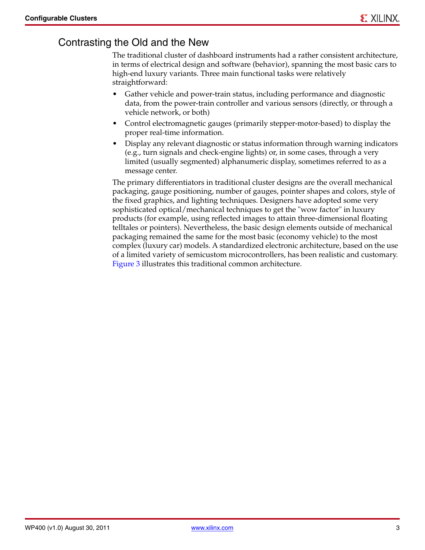#### Contrasting the Old and the New

The traditional cluster of dashboard instruments had a rather consistent architecture, in terms of electrical design and software (behavior), spanning the most basic cars to high-end luxury variants. Three main functional tasks were relatively straightforward:

- Gather vehicle and power-train status, including performance and diagnostic data, from the power-train controller and various sensors (directly, or through a vehicle network, or both)
- Control electromagnetic gauges (primarily stepper-motor-based) to display the proper real-time information.
- Display any relevant diagnostic or status information through warning indicators (e.g., turn signals and check-engine lights) or, in some cases, through a very limited (usually segmented) alphanumeric display, sometimes referred to as a message center.

The primary differentiators in traditional cluster designs are the overall mechanical packaging, gauge positioning, number of gauges, pointer shapes and colors, style of the fixed graphics, and lighting techniques. Designers have adopted some very sophisticated optical/mechanical techniques to get the "wow factor" in luxury products (for example, using reflected images to attain three-dimensional floating telltales or pointers). Nevertheless, the basic design elements outside of mechanical packaging remained the same for the most basic (economy vehicle) to the most complex (luxury car) models. A standardized electronic architecture, based on the use of a limited variety of semicustom microcontrollers, has been realistic and customary. [Figure 3](#page-3-0) illustrates this traditional common architecture.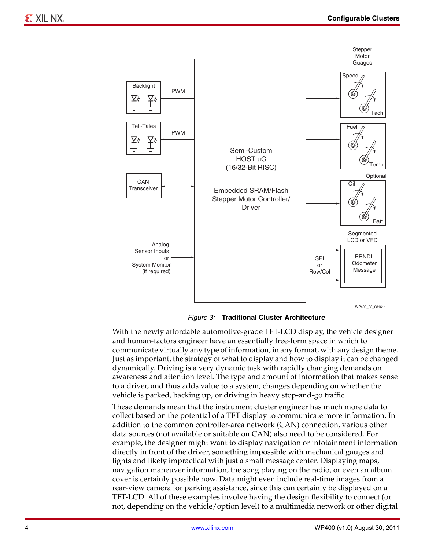<span id="page-3-0"></span>

*Figure 3:* **Traditional Cluster Architecture**

With the newly affordable automotive-grade TFT-LCD display, the vehicle designer and human-factors engineer have an essentially free-form space in which to communicate virtually any type of information, in any format, with any design theme. Just as important, the strategy of what to display and how to display it can be changed dynamically. Driving is a very dynamic task with rapidly changing demands on awareness and attention level. The type and amount of information that makes sense to a driver, and thus adds value to a system, changes depending on whether the vehicle is parked, backing up, or driving in heavy stop-and-go traffic.

These demands mean that the instrument cluster engineer has much more data to collect based on the potential of a TFT display to communicate more information. In addition to the common controller-area network (CAN) connection, various other data sources (not available or suitable on CAN) also need to be considered. For example, the designer might want to display navigation or infotainment information directly in front of the driver, something impossible with mechanical gauges and lights and likely impractical with just a small message center. Displaying maps, navigation maneuver information, the song playing on the radio, or even an album cover is certainly possible now. Data might even include real-time images from a rear-view camera for parking assistance, since this can certainly be displayed on a TFT-LCD. All of these examples involve having the design flexibility to connect (or not, depending on the vehicle/option level) to a multimedia network or other digital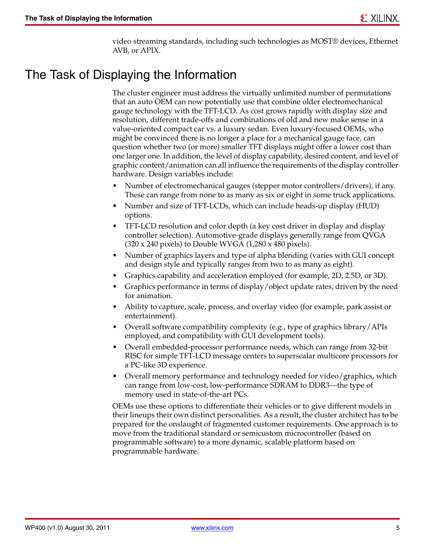video streaming standards, including such technologies as MOST® devices, Ethernet AVB, or APIX.

#### The Task of Displaying the Information

The cluster engineer must address the virtually unlimited number of permutations that an auto OEM can now potentially use that combine older electromechanical gauge technology with the TFT-LCD. As cost grows rapidly with display size and resolution, different trade-offs and combinations of old and new make sense in a value-oriented compact car vs. a luxury sedan. Even luxury-focused OEMs, who might be convinced there is no longer a place for a mechanical gauge face, can question whether two (or more) smaller TFT displays might offer a lower cost than one larger one. In addition, the level of display capability, desired content, and level of graphic content/animation can all influence the requirements of the display controller hardware. Design variables include:

- Number of electromechanical gauges (stepper motor controllers/drivers), if any. These can range from none to as many as six or eight in some truck applications.
- Number and size of TFT-LCDs, which can include heads-up display (HUD) options.
- TFT-LCD resolution and color depth (a key cost driver in display and display controller selection). Automotive-grade displays generally range from QVGA  $(320 \times 240 \text{ pixels})$  to Double WVGA  $(1,280 \times 480 \text{ pixels})$ .
- Number of graphics layers and type of alpha blending (varies with GUI concept and design style and typically ranges from two to as many as eight).
- Graphics capability and acceleration employed (for example, 2D, 2.5D, or 3D).
- Graphics performance in terms of display/object update rates, driven by the need for animation.
- Ability to capture, scale, process, and overlay video (for example, park assist or entertainment).
- Overall software compatibility complexity (e.g., type of graphics library/APIs employed, and compatibility with GUI development tools).
- Overall embedded-processor performance needs, which can range from 32-bit RISC for simple TFT-LCD message centers to superscalar multicore processors for a PC-like 3D experience.
- Overall memory performance and technology needed for video/graphics, which can range from low-cost, low-performance SDRAM to DDR3—the type of memory used in state-of-the-art PCs.

OEMs use these options to differentiate their vehicles or to give different models in their lineups their own distinct personalities. As a result, the cluster architect has to be prepared for the onslaught of fragmented customer requirements. One approach is to move from the traditional standard or semicustom microcontroller (based on programmable software) to a more dynamic, scalable platform based on programmable hardware.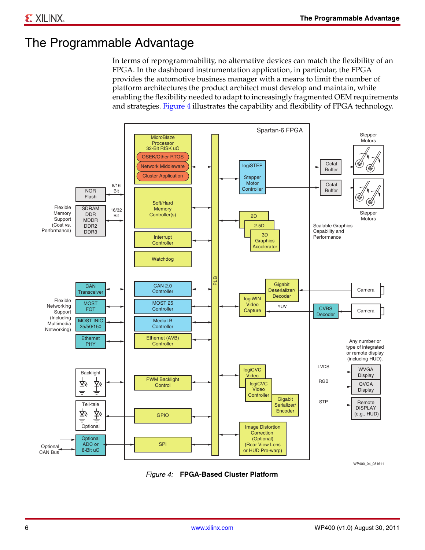# The Programmable Advantage

In terms of reprogrammability, no alternative devices can match the flexibility of an FPGA. In the dashboard instrumentation application, in particular, the FPGA provides the automotive business manager with a means to limit the number of platform architectures the product architect must develop and maintain, while enabling the flexibility needed to adapt to increasingly fragmented OEM requirements and strategies. [Figure 4](#page-5-0) illustrates the capability and flexibility of FPGA technology.

<span id="page-5-0"></span>

*Figure 4:* **FPGA-Based Cluster Platform**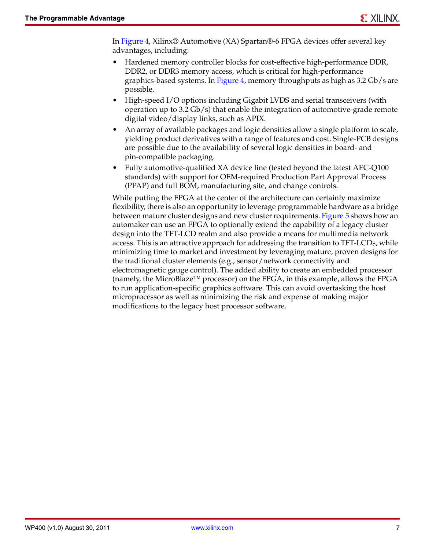In [Figure 4](#page-5-0), Xilinx® Automotive (XA) Spartan®-6 FPGA devices offer several key advantages, including:

- Hardened memory controller blocks for cost-effective high-performance DDR, DDR2, or DDR3 memory access, which is critical for high-performance graphics-based systems. In [Figure 4](#page-5-0), memory throughputs as high as 3.2 Gb/s are possible.
- High-speed I/O options including Gigabit LVDS and serial transceivers (with operation up to 3.2 Gb/s) that enable the integration of automotive-grade remote digital video/display links, such as APIX.
- An array of available packages and logic densities allow a single platform to scale, yielding product derivatives with a range of features and cost. Single-PCB designs are possible due to the availability of several logic densities in board- and pin-compatible packaging.
- Fully automotive-qualified XA device line (tested beyond the latest AEC-Q100 standards) with support for OEM-required Production Part Approval Process (PPAP) and full BOM, manufacturing site, and change controls.

While putting the FPGA at the center of the architecture can certainly maximize flexibility, there is also an opportunity to leverage programmable hardware as a bridge between mature cluster designs and new cluster requirements. [Figure 5](#page-7-0) shows how an automaker can use an FPGA to optionally extend the capability of a legacy cluster design into the TFT-LCD realm and also provide a means for multimedia network access. This is an attractive approach for addressing the transition to TFT-LCDs, while minimizing time to market and investment by leveraging mature, proven designs for the traditional cluster elements (e.g., sensor/network connectivity and electromagnetic gauge control). The added ability to create an embedded processor (namely, the MicroBlaze<sup>™</sup> processor) on the FPGA, in this example, allows the FPGA to run application-specific graphics software. This can avoid overtasking the host microprocessor as well as minimizing the risk and expense of making major modifications to the legacy host processor software.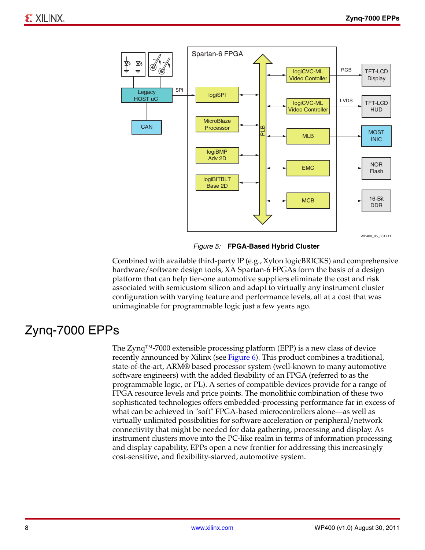<span id="page-7-0"></span>

*Figure 5:* **FPGA-Based Hybrid Cluster**

Combined with available third-party IP (e.g., Xylon logicBRICKS) and comprehensive hardware/software design tools, XA Spartan-6 FPGAs form the basis of a design platform that can help tier-one automotive suppliers eliminate the cost and risk associated with semicustom silicon and adapt to virtually any instrument cluster configuration with varying feature and performance levels, all at a cost that was unimaginable for programmable logic just a few years ago.

# Zynq-7000 EPPs

The Zynq™-7000 extensible processing platform (EPP) is a new class of device recently announced by Xilinx (see [Figure 6](#page-8-0)). This product combines a traditional, state-of-the-art, ARM® based processor system (well-known to many automotive software engineers) with the added flexibility of an FPGA (referred to as the programmable logic, or PL). A series of compatible devices provide for a range of FPGA resource levels and price points. The monolithic combination of these two sophisticated technologies offers embedded-processing performance far in excess of what can be achieved in "soft" FPGA-based microcontrollers alone—as well as virtually unlimited possibilities for software acceleration or peripheral/network connectivity that might be needed for data gathering, processing and display. As instrument clusters move into the PC-like realm in terms of information processing and display capability, EPPs open a new frontier for addressing this increasingly cost-sensitive, and flexibility-starved, automotive system.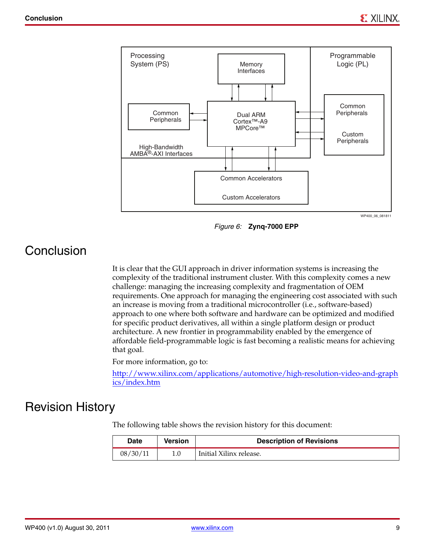<span id="page-8-0"></span>

*Figure 6:* **Zynq-7000 EPP**

# Conclusion

It is clear that the GUI approach in driver information systems is increasing the complexity of the traditional instrument cluster. With this complexity comes a new challenge: managing the increasing complexity and fragmentation of OEM requirements. One approach for managing the engineering cost associated with such an increase is moving from a traditional microcontroller (i.e., software-based) approach to one where both software and hardware can be optimized and modified for specific product derivatives, all within a single platform design or product architecture. A new frontier in programmability enabled by the emergence of affordable field-programmable logic is fast becoming a realistic means for achieving that goal.

For more information, go to:

[http://www.xilinx.com/applications/automotive/high-resolution-video-and-graph](http://www.xilinx.com/applications/automotive/high-resolution-video-and-graphics/index.htm) ics/index.htm

#### Revision History

The following table shows the revision history for this document:

| Date     | Version | <b>Description of Revisions</b> |
|----------|---------|---------------------------------|
| 08/30/11 |         | Initial Xilinx release.         |